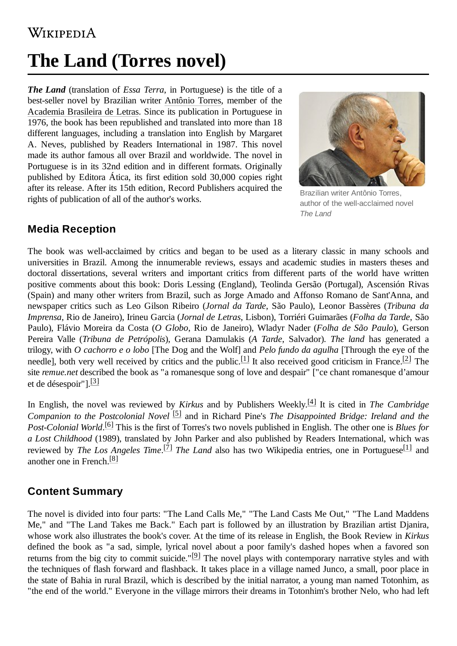## WIKIPEDIA

# **The Land (Torres novel)**

*The Land* (translation of *Essa Terra*, in Portuguese) is the title of a best-seller novel by Brazilian writer [Antônio Torres](https://en.wikipedia.org/w/index.php?title=Ant%C3%B4nio_Torres&action=edit&redlink=1), member of the [Academia](https://en.wikipedia.org/wiki/Academia_Brasileira_de_Letras) Brasileira de Letras. Since its publication in Portuguese in 1976, the book has been republished and translated into more than 18 different languages, including a translation into English by Margaret A. Neves, published by Readers International in 1987. This novel made its author famous all over Brazil and worldwide. The novel in Portuguese is in its 32nd edition and in different formats. Originally published by Editora Ática, its first edition sold 30,000 copies right after its release. After its 15th edition, Record Publishers acquired the rights of publication of all of the author's works.



Brazilian writer Antônio Torres, author of the well-acclaimed novel *The Land*

### **Media Reception**

The book was well-acclaimed by critics and began to be used as a literary classic in many schools and universities in Brazil. Among the innumerable reviews, essays and academic studies in masters theses and doctoral dissertations, several writers and important critics from different parts of the world have written positive comments about this book: Doris Lessing (England), Teolinda Gersão (Portugal), Ascensión Rivas (Spain) and many other writers from Brazil, such as Jorge Amado and Affonso Romano de Sant'Anna, and newspaper critics such as Leo Gilson Ribeiro (*Jornal da Tarde*, São Paulo), Leonor Bassères (*Tribuna da Imprensa*, Rio de Janeiro), Irineu Garcia (*Jornal de Letras*, Lisbon), Torriéri Guimarães (*Folha da Tarde*, São Paulo), Flávio Moreira da Costa (*O Globo*, Rio de Janeiro), Wladyr Nader (*Folha de São Paulo*), Gerson Pereira Valle (*Tribuna de Petrópolis*), Gerana Damulakis (*A Tarde*, Salvador). *The land* has generated a trilogy, with *O cachorro e o lobo* [The Dog and the Wolf] and *Pelo fundo da agulha* [Through the eye of the needle], both very well received by critics and the public.<sup>[\[1\]](#page-1-0)</sup> It also received good criticism in France.<sup>[\[2\]](#page-1-1)</sup> The site *remue.net* described the book as "a romanesque song of love and despair" ["ce chant romanesque d'amour et de désespoir"].<sup>[\[3\]](#page-1-2)</sup>

In English, the novel was reviewed by *Kirkus* and by Publishers Weekly. [\[4\]](#page-1-3) It is cited in *The Cambridge Companion to the Postcolonial Novel* [\[5\]](#page-1-4) and in Richard Pine's *The Disappointed Bridge: Ireland and the Post-Colonial World*. [\[6\]](#page-1-5) This is the first of Torres's two novels published in English. The other one is *Blues for a Lost Childhood* (1989), translated by John Parker and also published by Readers International, which was reviewed by *The Los Angeles Time*. [\[7\]](#page-1-6) *The Land* also has two Wikipedia entries, one in Portuguese [\[1\]](#page-1-0) and another one in French.<sup>[\[8\]](#page-1-7)</sup>

#### **Content Summary**

The novel is divided into four parts: "The Land Calls Me," "The Land Casts Me Out," "The Land Maddens Me," and "The Land Takes me Back." Each part is followed by an illustration by Brazilian artist Djanira, whose work also illustrates the book's cover. At the time of its release in English, the Book Review in *Kirkus* defined the book as "a sad, simple, lyrical novel about a poor family's dashed hopes when a favored son returns from the big city to commit suicide." $[9]$  The novel plays with contemporary narrative styles and with the techniques of flash forward and flashback. It takes place in a village named Junco, a small, poor place in the state of Bahia in rural Brazil, which is described by the initial narrator, a young man named Totonhim, as "the end of the world." Everyone in the village mirrors their dreams in Totonhim's brother Nelo, who had left